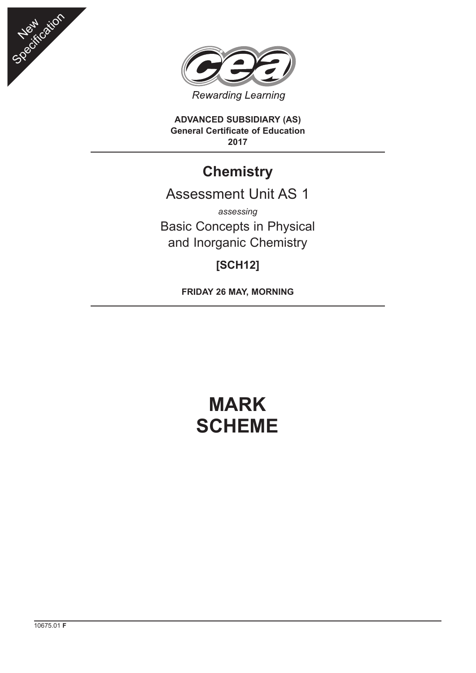



**ADVANCED SUBSIDIARY (AS) General Certificate of Education 2017**

## **Chemistry**

## Assessment Unit AS 1

*assessing* Basic Concepts in Physical and Inorganic Chemistry

## **[SCH12]**

**FRIDAY 26 MAY, MORNING**

# **MARK SCHEME**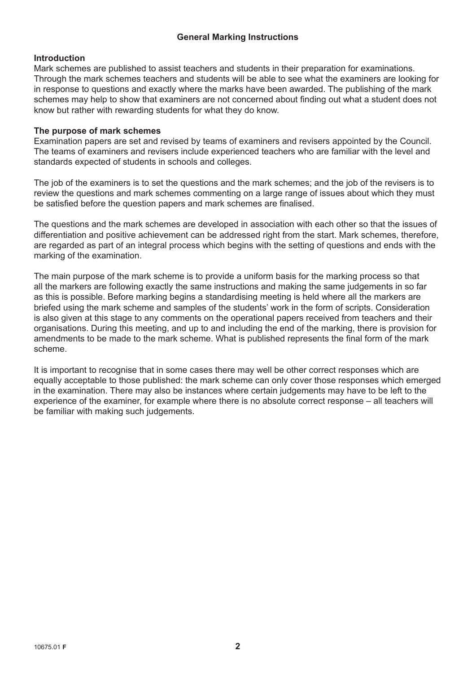#### **General Marking Instructions**

#### **Introduction**

Mark schemes are published to assist teachers and students in their preparation for examinations. Through the mark schemes teachers and students will be able to see what the examiners are looking for in response to questions and exactly where the marks have been awarded. The publishing of the mark schemes may help to show that examiners are not concerned about finding out what a student does not know but rather with rewarding students for what they do know.

#### **The purpose of mark schemes**

Examination papers are set and revised by teams of examiners and revisers appointed by the Council. The teams of examiners and revisers include experienced teachers who are familiar with the level and standards expected of students in schools and colleges.

The job of the examiners is to set the questions and the mark schemes; and the job of the revisers is to review the questions and mark schemes commenting on a large range of issues about which they must be satisfied before the question papers and mark schemes are finalised.

The questions and the mark schemes are developed in association with each other so that the issues of differentiation and positive achievement can be addressed right from the start. Mark schemes, therefore, are regarded as part of an integral process which begins with the setting of questions and ends with the marking of the examination.

The main purpose of the mark scheme is to provide a uniform basis for the marking process so that all the markers are following exactly the same instructions and making the same judgements in so far as this is possible. Before marking begins a standardising meeting is held where all the markers are briefed using the mark scheme and samples of the students' work in the form of scripts. Consideration is also given at this stage to any comments on the operational papers received from teachers and their organisations. During this meeting, and up to and including the end of the marking, there is provision for amendments to be made to the mark scheme. What is published represents the final form of the mark scheme.

It is important to recognise that in some cases there may well be other correct responses which are equally acceptable to those published: the mark scheme can only cover those responses which emerged in the examination. There may also be instances where certain judgements may have to be left to the experience of the examiner, for example where there is no absolute correct response – all teachers will be familiar with making such judgements.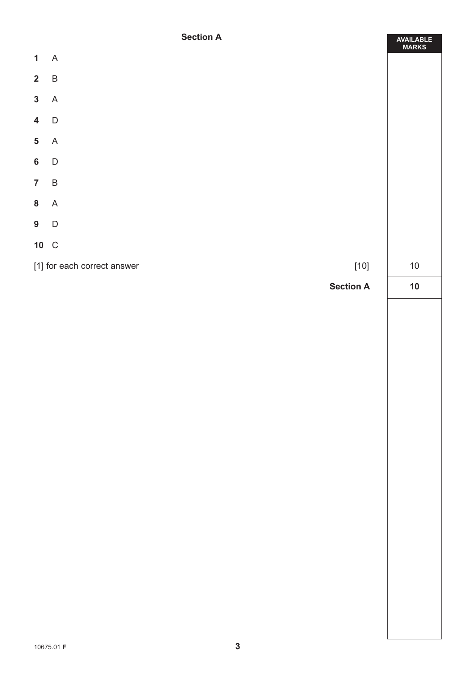#### **Section A**

ä

|                         | <b>Section H</b>                      | AVAILABLE<br>MARKS |
|-------------------------|---------------------------------------|--------------------|
| $\mathbf{1}$            | A                                     |                    |
| $\overline{\mathbf{2}}$ | $\sf B$                               |                    |
| $\mathbf{3}$            | $\mathsf A$                           |                    |
| $\overline{\mathbf{4}}$ | $\mathsf D$                           |                    |
| $\overline{\mathbf{5}}$ | $\mathsf A$                           |                    |
| $6\phantom{a}$          | $\mathsf D$                           |                    |
| $\overline{7}$          | $\sf B$                               |                    |
| $\bf 8$                 | $\mathsf A$                           |                    |
| $9\phantom{.0}$         | $\mathsf D$                           |                    |
| 10 C                    |                                       |                    |
|                         | $[10]$<br>[1] for each correct answer | $10\,$             |
|                         | <b>Section A</b>                      | 10                 |
|                         |                                       |                    |
|                         |                                       |                    |
|                         |                                       |                    |
|                         |                                       |                    |
|                         |                                       |                    |
|                         |                                       |                    |
|                         |                                       |                    |
|                         |                                       |                    |
|                         |                                       |                    |
|                         |                                       |                    |
|                         |                                       |                    |
|                         |                                       |                    |
|                         |                                       |                    |
|                         |                                       |                    |
|                         |                                       |                    |
|                         |                                       |                    |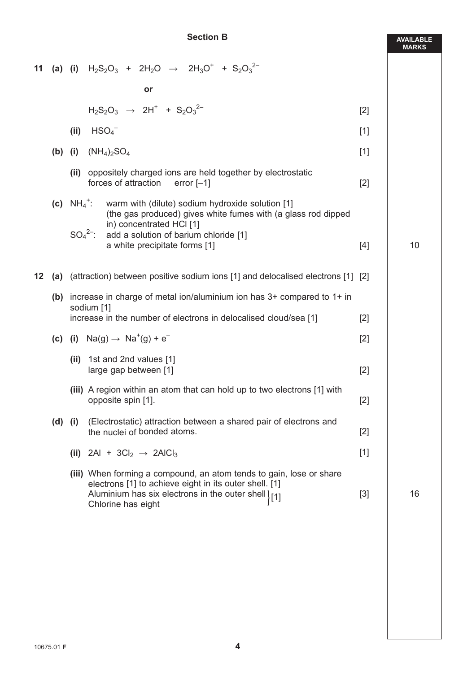### **Section B**

**AVAILABLE MARKS**

| 11 |             |                                                                                              | (a) (i) $H_2S_2O_3 + 2H_2O \rightarrow 2H_3O^+ + S_2O_3^{2-}$                                                                                                                                             |       |    |
|----|-------------|----------------------------------------------------------------------------------------------|-----------------------------------------------------------------------------------------------------------------------------------------------------------------------------------------------------------|-------|----|
|    |             |                                                                                              | or                                                                                                                                                                                                        |       |    |
|    |             |                                                                                              | $H_2S_2O_3 \rightarrow 2H^+ + S_2O_3^{2-}$                                                                                                                                                                | $[2]$ |    |
|    |             | (ii)                                                                                         | HSO <sub>4</sub>                                                                                                                                                                                          | $[1]$ |    |
|    | $(b)$ (i)   |                                                                                              | $(NH_4)_2SO_4$                                                                                                                                                                                            | $[1]$ |    |
|    |             | (ii)                                                                                         | $[2]$                                                                                                                                                                                                     |       |    |
|    |             | (c) $NH_4^+$ :                                                                               | warm with (dilute) sodium hydroxide solution [1]<br>(the gas produced) gives white fumes with (a glass rod dipped<br>in) concentrated HCI [1]                                                             |       |    |
|    |             |                                                                                              | $SO42$ :<br>add a solution of barium chloride [1]<br>a white precipitate forms [1]                                                                                                                        | $[4]$ | 10 |
| 12 | (a)         |                                                                                              | (attraction) between positive sodium ions [1] and delocalised electrons [1] [2]                                                                                                                           |       |    |
|    |             | (b) increase in charge of metal ion/aluminium ion has $3+$ compared to $1+$ in<br>sodium [1] |                                                                                                                                                                                                           |       |    |
|    |             |                                                                                              | increase in the number of electrons in delocalised cloud/sea [1]                                                                                                                                          | [2]   |    |
|    |             |                                                                                              | (c) (i) $Na(g) \rightarrow Na^{+}(g) + e^{-}$                                                                                                                                                             | $[2]$ |    |
|    |             | 1st and 2nd values [1]<br>(ii)                                                               | $[2]$                                                                                                                                                                                                     |       |    |
|    |             |                                                                                              | (iii) A region within an atom that can hold up to two electrons [1] with<br>opposite spin [1].                                                                                                            | $[2]$ |    |
|    | $(d)$ $(i)$ |                                                                                              | (Electrostatic) attraction between a shared pair of electrons and<br>the nuclei of bonded atoms.                                                                                                          | $[2]$ |    |
|    |             |                                                                                              | (ii) 2Al + 3Cl <sub>2</sub> $\rightarrow$ 2AlCl <sub>3</sub>                                                                                                                                              | $[1]$ |    |
|    |             |                                                                                              | (iii) When forming a compound, an atom tends to gain, lose or share<br>electrons [1] to achieve eight in its outer shell. [1]<br>Aluminium has six electrons in the outer shell [1]<br>Chlorine has eight | $[3]$ | 16 |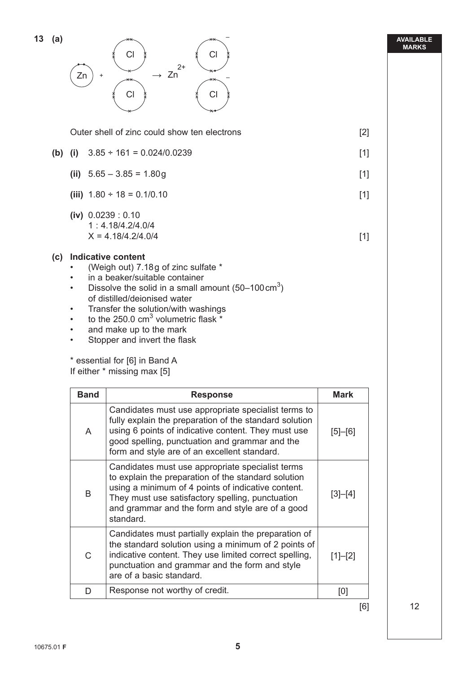| (iv) $0.0239 : 0.10$                             | 1: 4.18/4.2/4.0/4<br>$X = 4.18/4.2/4.0/4$                                                                                                                                                                                                                                                                                                                                                                    | $[1]$       |
|--------------------------------------------------|--------------------------------------------------------------------------------------------------------------------------------------------------------------------------------------------------------------------------------------------------------------------------------------------------------------------------------------------------------------------------------------------------------------|-------------|
| $\bullet$<br>$\bullet$<br>$\bullet$<br>$\bullet$ | (c) Indicative content<br>(Weigh out) 7.18g of zinc sulfate *<br>in a beaker/suitable container<br>Dissolve the solid in a small amount $(50-100 \text{ cm}^3)$<br>of distilled/deionised water<br>Transfer the solution/with washings<br>to the 250.0 $cm3$ volumetric flask $*$<br>and make up to the mark<br>Stopper and invert the flask<br>* essential for [6] in Band A<br>If either * missing max [5] |             |
| <b>Band</b>                                      | <b>Response</b>                                                                                                                                                                                                                                                                                                                                                                                              | <b>Mark</b> |
| A                                                | Candidates must use appropriate specialist terms to<br>fully explain the preparation of the standard solution<br>using 6 points of indicative content. They must use<br>good spelling, punctuation and grammar and the<br>form and style are of an excellent standard.                                                                                                                                       | $[5]-[6]$   |
| B                                                | Candidates must use appropriate specialist terms<br>to explain the preparation of the standard solution<br>using a minimum of 4 points of indicative content.<br>They must use satisfactory spelling, punctuation<br>and grammar and the form and style are of a good<br>standard.                                                                                                                           | $[3]-[4]$   |
| $\mathsf{C}$                                     | Candidates must partially explain the preparation of<br>the standard solution using a minimum of 2 points of<br>indicative content. They use limited correct spelling,<br>punctuation and grammar and the form and style<br>are of a basic standard.                                                                                                                                                         | $[1]-[2]$   |
| D                                                | Response not worthy of credit.                                                                                                                                                                                                                                                                                                                                                                               | [0]         |

| $13$ (a) |    | ىحمد |    |    |
|----------|----|------|----|----|
|          |    | СI   |    | Cl |
|          |    |      | 2+ |    |
|          | Zn |      | Zn |    |
|          |    |      |    |    |

Outer shell of zinc could show ten electrons [2]

- 
- **(b)** (i)  $3.85 \div 161 = 0.024/0.0239$  [1]
	- **(ii)**  $5.65 3.85 = 1.80g$  [1]
	- **(iii)**  $1.80 \div 18 = 0.1/0.10$  [1]

–

–

#### **AVAILABLE MARKS**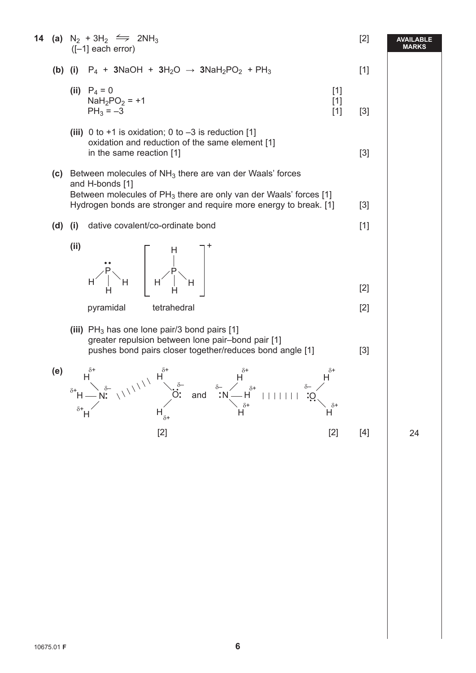|     | <b>14</b> (a) $N_2 + 3H_2 \implies 2NH_3$<br>$([-1]$ each error)                                                                                                                                                                                                                                                                                                                                                                                                                                                                                                                                                               | $[2]$ | <b>AVAILABLE</b><br><b>MARKS</b> |
|-----|--------------------------------------------------------------------------------------------------------------------------------------------------------------------------------------------------------------------------------------------------------------------------------------------------------------------------------------------------------------------------------------------------------------------------------------------------------------------------------------------------------------------------------------------------------------------------------------------------------------------------------|-------|----------------------------------|
|     | (b) (i) $P_4$ + 3NaOH + 3H <sub>2</sub> O $\rightarrow$ 3NaH <sub>2</sub> PO <sub>2</sub> + PH <sub>3</sub>                                                                                                                                                                                                                                                                                                                                                                                                                                                                                                                    | $[1]$ |                                  |
|     | (ii) $P_4 = 0$<br>$[1]$<br>$NaH_2PO_2 = +1$<br>$[1]$<br>$PH_3 = -3$<br>$[1]$                                                                                                                                                                                                                                                                                                                                                                                                                                                                                                                                                   | $[3]$ |                                  |
|     | (iii) 0 to +1 is oxidation; 0 to $-3$ is reduction [1]<br>oxidation and reduction of the same element [1]<br>in the same reaction [1]                                                                                                                                                                                                                                                                                                                                                                                                                                                                                          | $[3]$ |                                  |
|     | (c) Between molecules of $NH3$ there are van der Waals' forces<br>and H-bonds [1]<br>Between molecules of $PH_3$ there are only van der Waals' forces [1]                                                                                                                                                                                                                                                                                                                                                                                                                                                                      |       |                                  |
|     | Hydrogen bonds are stronger and require more energy to break. [1]                                                                                                                                                                                                                                                                                                                                                                                                                                                                                                                                                              | $[3]$ |                                  |
|     | dative covalent/co-ordinate bond<br>$(d)$ $(i)$                                                                                                                                                                                                                                                                                                                                                                                                                                                                                                                                                                                | $[1]$ |                                  |
|     | (ii)<br>$\begin{array}{c} \begin{array}{c} \begin{array}{c} \mathbf{H} \\ \mathbf{H} \end{array} \\ \begin{array}{c} \mathbf{H} \\ \mathbf{H} \end{array} \end{array} \begin{array}{c} \begin{array}{c} \mathbf{H} \\ \mathbf{H} \\ \mathbf{H} \end{array} \end{array} \begin{array}{c} \begin{array}{c} \mathbf{H} \\ \mathbf{H} \\ \mathbf{H} \end{array} \end{array} \begin{array}{c} \begin{array}{c} \mathbf{H} \\ \mathbf{H} \\ \mathbf{H} \end{array} \end{array} \begin{array}{c} \begin{array}{c} \mathbf{$                                                                                                           | $[2]$ |                                  |
|     | tetrahedral<br>pyramidal                                                                                                                                                                                                                                                                                                                                                                                                                                                                                                                                                                                                       | $[2]$ |                                  |
|     | (iii) $PH_3$ has one lone pair/3 bond pairs [1]<br>greater repulsion between lone pair-bond pair [1]<br>pushes bond pairs closer together/reduces bond angle [1]                                                                                                                                                                                                                                                                                                                                                                                                                                                               | $[3]$ |                                  |
| (e) | $\overrightarrow{H}$<br>$\overrightarrow{H}$<br>$\overrightarrow{H}$<br>$\overrightarrow{H}$<br>$\overrightarrow{H}$<br>$\overrightarrow{H}$<br>$\overrightarrow{H}$<br>$\overrightarrow{H}$<br>$\overrightarrow{H}$<br>$\overrightarrow{H}$<br>$\overrightarrow{H}$<br>$\overrightarrow{H}$<br>$\overrightarrow{H}$<br>$\overrightarrow{H}$<br>$\overrightarrow{H}$<br>$\overrightarrow{H}$<br>$\overrightarrow{H}$<br>$\overrightarrow{H}$<br>$\overrightarrow{H}$<br>$\overrightarrow{H}$<br>$\overrightarrow{H}$<br>$\overrightarrow{H}$<br><br>$H^{\circ}$<br>$\delta H$<br>$\delta$ +<br>$\mathsf{H}_{_{\delta^+}}$<br>H |       |                                  |
|     | $[2]$<br>$[2]$                                                                                                                                                                                                                                                                                                                                                                                                                                                                                                                                                                                                                 | $[4]$ | 24                               |
|     |                                                                                                                                                                                                                                                                                                                                                                                                                                                                                                                                                                                                                                |       |                                  |